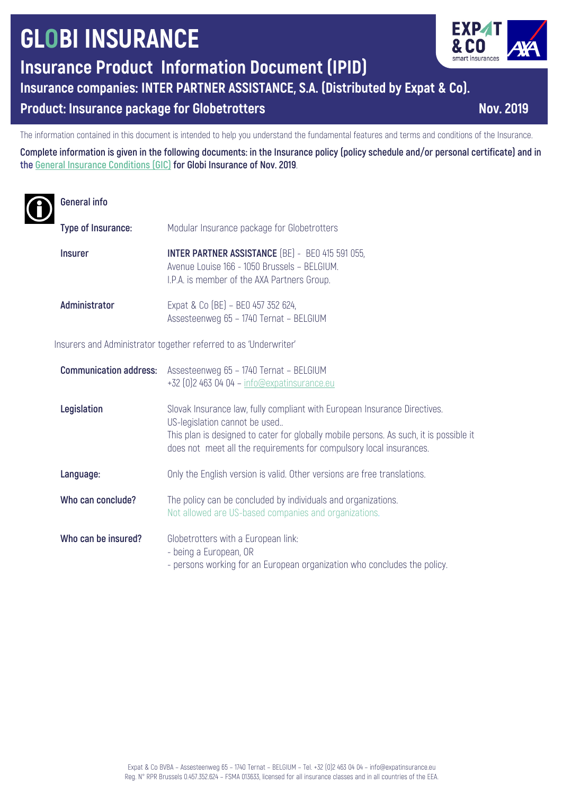# **GLOBI INSURANCE**

**Insurance Product Information Document (IPID)**

**Insurance companies: INTER PARTNER ASSISTANCE, S.A. (Distributed by Expat & Co).**

# **Product: Insurance package for Globetrotters Nov. Nov. 2019**

The information contained in this document is intended to help you understand the fundamental features and terms and conditions of the Insurance.

**Complete information is given in the following documents: in the Insurance policy (policy schedule and/or personal certificate) and in the General Insurance Conditions (GIC) for Globi Insurance of Nov. 2019**.

### **General info**

| Type of Insurance: | Modular Insurance package for Globetrotters                                                                                                            |
|--------------------|--------------------------------------------------------------------------------------------------------------------------------------------------------|
| <b>Insurer</b>     | <b>INTER PARTNER ASSISTANCE (BE) - BEO 415 591 055,</b><br>Avenue Louise 166 - 1050 Brussels - BELGIUM.<br>I.P.A. is member of the AXA Partners Group. |
| Administrator      | Expat & Co (BE) - BE0 457 352 624,<br>Assesteenweg 65 - 1740 Ternat - BELGIUM                                                                          |

Insurers and Administrator together referred to as 'Underwriter'

| <b>Communication address:</b> | Assesteenweg 65 - 1740 Ternat - BELGIUM<br>+32 [0] 2 463 04 04 - info@expatinsurance.eu                                                                                                                                                                                     |
|-------------------------------|-----------------------------------------------------------------------------------------------------------------------------------------------------------------------------------------------------------------------------------------------------------------------------|
| Legislation                   | Slovak Insurance law, fully compliant with European Insurance Directives.<br>US-legislation cannot be used<br>This plan is designed to cater for globally mobile persons. As such, it is possible it<br>does not meet all the requirements for compulsory local insurances. |
| Language:                     | Only the English version is valid. Other versions are free translations.                                                                                                                                                                                                    |
| Who can conclude?             | The policy can be concluded by individuals and organizations.<br>Not allowed are US-based companies and organizations.                                                                                                                                                      |
| Who can be insured?           | Globetrotters with a European link:<br>- being a European, OR<br>- persons working for an European organization who concludes the policy.                                                                                                                                   |



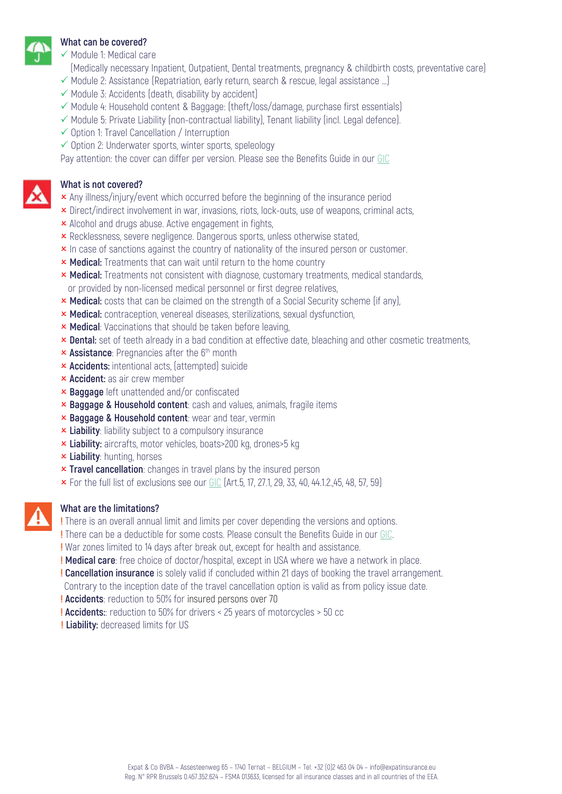

#### **What can be covered?**

- $\checkmark$  Module 1: Medical care
- (Medically necessary Inpatient, Outpatient, Dental treatments, pregnancy & childbirth costs, preventative care)
- $\checkmark$  Module 2: Assistance (Repatriation, early return, search & rescue, legal assistance ...)
- $\checkmark$  Module 3: Accidents (death, disability by accident)
- $\checkmark$  Module 4: Household content & Baggage: (theft/loss/damage, purchase first essentials)
- $\checkmark$  Module 5: Private Liability (non-contractual liability), Tenant liability (incl. Legal defence).
- $\checkmark$  Option 1: Travel Cancellation / Interruption
- $\checkmark$  Option 2: Underwater sports, winter sports, speleology

Pay attention: the cover can differ per version. Please see the Benefits Guide in our GIC

#### **What is not covered?**

- **x** Any illness/injury/event which occurred before the beginning of the insurance period
- **x** Direct/indirect involvement in war, invasions, riots, lock-outs, use of weapons, criminal acts,
- **x** Alcohol and drugs abuse. Active engagement in fights,
- **x** Recklessness, severe negligence. Dangerous sports, unless otherwise stated,
- **x** In case of sanctions against the country of nationality of the insured person or customer.
- **× Medical:** Treatments that can wait until return to the home country
- **× Medical:** Treatments not consistent with diagnose, customary treatments, medical standards, or provided by non-licensed medical personnel or first degree relatives,
- **× Medical:** costs that can be claimed on the strength of a Social Security scheme (if any),
- **× Medical:** contraception, venereal diseases, sterilizations, sexual dysfunction,
- **x Medical**: Vaccinations that should be taken before leaving,
- **x Dental:** set of teeth already in a bad condition at effective date, bleaching and other cosmetic treatments,
- **x Assistance**: Pregnancies after the 6<sup>th</sup> month
- **× Accidents:** intentional acts, (attempted) suicide
- **x Accident:** as air crew member
- O **Baggage** left unattended and/or confiscated
- **x Baggage & Household content**: cash and values, animals, fragile items
- **x Baggage & Household content: wear and tear, vermin**
- **x Liability**: liability subject to a compulsory insurance
- **x Liability:** aircrafts, motor vehicles, boats>200 kg, drones>5 kg
- **k** Liability: hunting, horses
- **x Travel cancellation**: changes in travel plans by the insured person
- $\times$  For the full list of exclusions see our GIC (Art.5, 17, 27.1, 29, 33, 40, 44.1.2.,45, 48, 57, 59)

#### **What are the limitations?**

- **!** There is an overall annual limit and limits per cover depending the versions and options.
- **!** There can be a deductible for some costs. Please consult the Benefits Guide in our GIC.
- **!** War zones limited to 14 days after break out, except for health and assistance.
- **! Medical care**: free choice of doctor/hospital, except in USA where we have a network in place.
- **! Cancellation insurance** is solely valid if concluded within 21 days of booking the travel arrangement.
- Contrary to the inception date of the travel cancellation option is valid as from policy issue date.
- **! Accidents**: reduction to 50% for insured persons over 70
- **! Accidents:**: reduction to 50% for drivers < 25 years of motorcycles > 50 cc
- **! Liability:** decreased limits for US